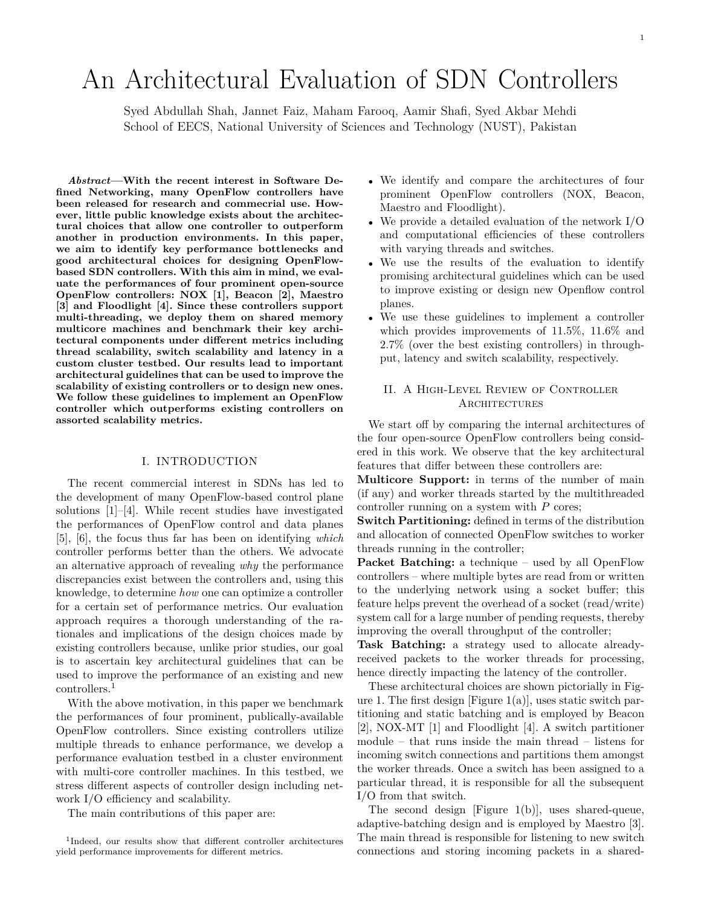# An Architectural Evaluation of SDN Controllers

Syed Abdullah Shah, Jannet Faiz, Maham Farooq, Aamir Shafi, Syed Akbar Mehdi School of EECS, National University of Sciences and Technology (NUST), Pakistan

*Abstract***—With the recent interest in Software Defined Networking, many OpenFlow controllers have been released for research and commecrial use. However, little public knowledge exists about the architectural choices that allow one controller to outperform another in production environments. In this paper, we aim to identify key performance bottlenecks and good architectural choices for designing OpenFlowbased SDN controllers. With this aim in mind, we evaluate the performances of four prominent open-source OpenFlow controllers: NOX [1], Beacon [2], Maestro [3] and Floodlight [4]. Since these controllers support multi-threading, we deploy them on shared memory multicore machines and benchmark their key architectural components under different metrics including thread scalability, switch scalability and latency in a custom cluster testbed. Our results lead to important architectural guidelines that can be used to improve the scalability of existing controllers or to design new ones. We follow these guidelines to implement an OpenFlow controller which outperforms existing controllers on assorted scalability metrics.**

### I. INTRODUCTION

The recent commercial interest in SDNs has led to the development of many OpenFlow-based control plane solutions [1]–[4]. While recent studies have investigated the performances of OpenFlow control and data planes [5], [6], the focus thus far has been on identifying *which* controller performs better than the others. We advocate an alternative approach of revealing *why* the performance discrepancies exist between the controllers and, using this knowledge, to determine *how* one can optimize a controller for a certain set of performance metrics. Our evaluation approach requires a thorough understanding of the rationales and implications of the design choices made by existing controllers because, unlike prior studies, our goal is to ascertain key architectural guidelines that can be used to improve the performance of an existing and new controllers.<sup>1</sup>

With the above motivation, in this paper we benchmark the performances of four prominent, publically-available OpenFlow controllers. Since existing controllers utilize multiple threads to enhance performance, we develop a performance evaluation testbed in a cluster environment with multi-core controller machines. In this testbed, we stress different aspects of controller design including network I/O efficiency and scalability.

The main contributions of this paper are:

- We identify and compare the architectures of four prominent OpenFlow controllers (NOX, Beacon, Maestro and Floodlight).
- We provide a detailed evaluation of the network I/O and computational efficiencies of these controllers with varying threads and switches.
- We use the results of the evaluation to identify promising architectural guidelines which can be used to improve existing or design new Openflow control planes.
- We use these guidelines to implement a controller which provides improvements of 11*.*5%, 11*.*6% and 2*.*7% (over the best existing controllers) in throughput, latency and switch scalability, respectively.

# II. A High-Level Review of Controller **ARCHITECTURES**

We start off by comparing the internal architectures of the four open-source OpenFlow controllers being considered in this work. We observe that the key architectural features that differ between these controllers are:

**Multicore Support:** in terms of the number of main (if any) and worker threads started by the multithreaded controller running on a system with *P* cores;

**Switch Partitioning:** defined in terms of the distribution and allocation of connected OpenFlow switches to worker threads running in the controller;

**Packet Batching:** a technique – used by all OpenFlow controllers – where multiple bytes are read from or written to the underlying network using a socket buffer; this feature helps prevent the overhead of a socket (read/write) system call for a large number of pending requests, thereby improving the overall throughput of the controller;

**Task Batching:** a strategy used to allocate alreadyreceived packets to the worker threads for processing, hence directly impacting the latency of the controller.

These architectural choices are shown pictorially in Figure 1. The first design [Figure  $1(a)$ ], uses static switch partitioning and static batching and is employed by Beacon [2], NOX-MT [1] and Floodlight [4]. A switch partitioner module – that runs inside the main thread – listens for incoming switch connections and partitions them amongst the worker threads. Once a switch has been assigned to a particular thread, it is responsible for all the subsequent I/O from that switch.

The second design [Figure 1(b)], uses shared-queue, adaptive-batching design and is employed by Maestro [3]. The main thread is responsible for listening to new switch connections and storing incoming packets in a shared-

<sup>1</sup> Indeed, our results show that different controller architectures yield performance improvements for different metrics.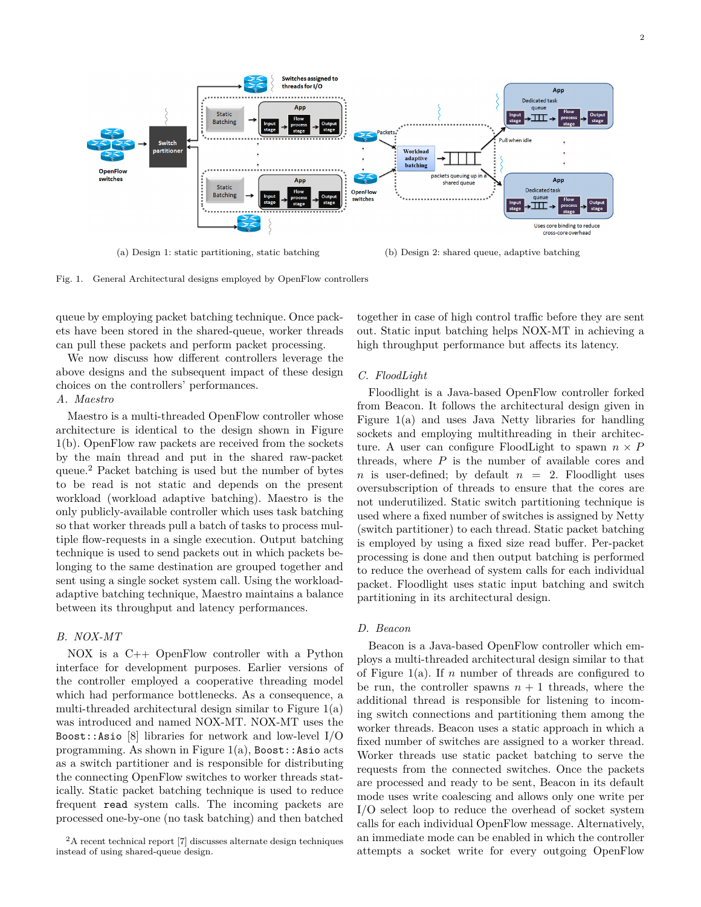

(a) Design 1: static partitioning, static batching (b) Design 2: shared queue, adaptive batching

Fig. 1. General Architectural designs employed by OpenFlow controllers

queue by employing packet batching technique. Once packets have been stored in the shared-queue, worker threads can pull these packets and perform packet processing.

We now discuss how different controllers leverage the above designs and the subsequent impact of these design choices on the controllers' performances.

# *A. Maestro*

Maestro is a multi-threaded OpenFlow controller whose architecture is identical to the design shown in Figure 1(b). OpenFlow raw packets are received from the sockets by the main thread and put in the shared raw-packet queue.<sup>2</sup> Packet batching is used but the number of bytes to be read is not static and depends on the present workload (workload adaptive batching). Maestro is the only publicly-available controller which uses task batching so that worker threads pull a batch of tasks to process multiple flow-requests in a single execution. Output batching technique is used to send packets out in which packets belonging to the same destination are grouped together and sent using a single socket system call. Using the workloadadaptive batching technique, Maestro maintains a balance between its throughput and latency performances.

## *B. NOX-MT*

NOX is a C++ OpenFlow controller with a Python interface for development purposes. Earlier versions of the controller employed a cooperative threading model which had performance bottlenecks. As a consequence, a multi-threaded architectural design similar to Figure 1(a) was introduced and named NOX-MT. NOX-MT uses the Boost::Asio [8] libraries for network and low-level I/O programming. As shown in Figure  $1(a)$ , Boost::Asio acts as a switch partitioner and is responsible for distributing the connecting OpenFlow switches to worker threads statically. Static packet batching technique is used to reduce frequent read system calls. The incoming packets are processed one-by-one (no task batching) and then batched

together in case of high control traffic before they are sent out. Static input batching helps NOX-MT in achieving a high throughput performance but affects its latency.

#### *C. FloodLight*

Floodlight is a Java-based OpenFlow controller forked from Beacon. It follows the architectural design given in Figure 1(a) and uses Java Netty libraries for handling sockets and employing multithreading in their architecture. A user can configure FloodLight to spawn  $n \times P$ threads, where *P* is the number of available cores and *n* is user-defined; by default  $n = 2$ . Floodlight uses oversubscription of threads to ensure that the cores are not underutilized. Static switch partitioning technique is used where a fixed number of switches is assigned by Netty (switch partitioner) to each thread. Static packet batching is employed by using a fixed size read buffer. Per-packet processing is done and then output batching is performed to reduce the overhead of system calls for each individual packet. Floodlight uses static input batching and switch partitioning in its architectural design.

# *D. Beacon*

Beacon is a Java-based OpenFlow controller which employs a multi-threaded architectural design similar to that of Figure 1(a). If *n* number of threads are configured to be run, the controller spawns  $n + 1$  threads, where the additional thread is responsible for listening to incoming switch connections and partitioning them among the worker threads. Beacon uses a static approach in which a fixed number of switches are assigned to a worker thread. Worker threads use static packet batching to serve the requests from the connected switches. Once the packets are processed and ready to be sent, Beacon in its default mode uses write coalescing and allows only one write per I/O select loop to reduce the overhead of socket system calls for each individual OpenFlow message. Alternatively, an immediate mode can be enabled in which the controller attempts a socket write for every outgoing OpenFlow

 $2A$  recent technical report [7] discusses alternate design techniques instead of using shared-queue design.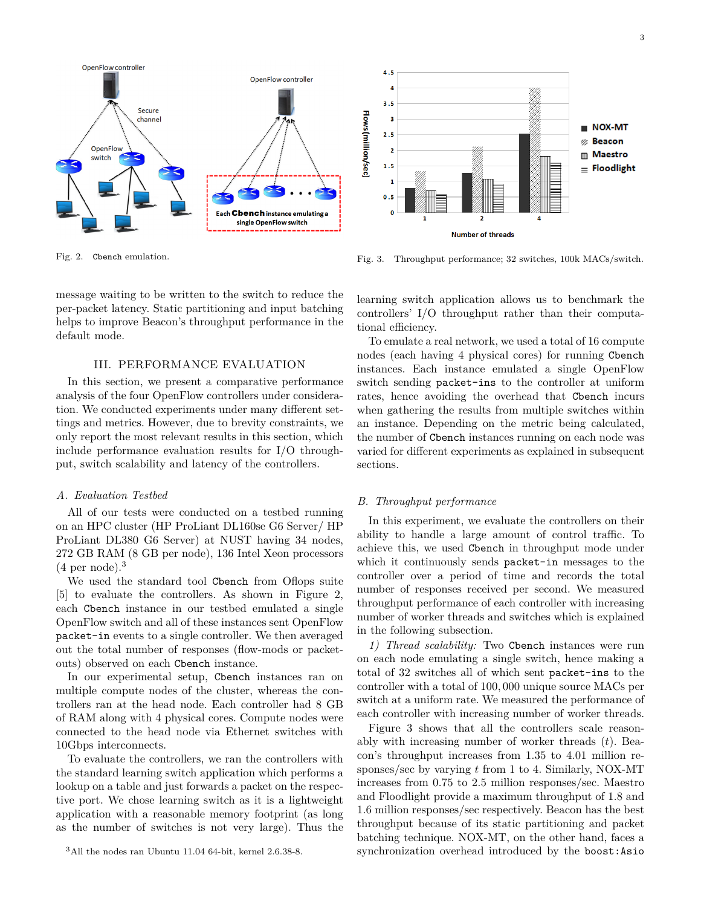

Fig. 2. Cbench emulation.

default mode.

message waiting to be written to the switch to reduce the per-packet latency. Static partitioning and input batching helps to improve Beacon's throughput performance in the

#### III. PERFORMANCE EVALUATION

In this section, we present a comparative performance analysis of the four OpenFlow controllers under consideration. We conducted experiments under many different settings and metrics. However, due to brevity constraints, we only report the most relevant results in this section, which include performance evaluation results for I/O throughput, switch scalability and latency of the controllers.

#### *A. Evaluation Testbed*

All of our tests were conducted on a testbed running on an HPC cluster (HP ProLiant DL160se G6 Server/ HP ProLiant DL380 G6 Server) at NUST having 34 nodes, 272 GB RAM (8 GB per node), 136 Intel Xeon processors  $(4 \text{ per node})$ .<sup>3</sup>

We used the standard tool Cbench from Oflops suite [5] to evaluate the controllers. As shown in Figure 2, each Cbench instance in our testbed emulated a single OpenFlow switch and all of these instances sent OpenFlow packet-in events to a single controller. We then averaged out the total number of responses (flow-mods or packetouts) observed on each Cbench instance.

In our experimental setup, Cbench instances ran on multiple compute nodes of the cluster, whereas the controllers ran at the head node. Each controller had 8 GB of RAM along with 4 physical cores. Compute nodes were connected to the head node via Ethernet switches with 10Gbps interconnects.

To evaluate the controllers, we ran the controllers with the standard learning switch application which performs a lookup on a table and just forwards a packet on the respective port. We chose learning switch as it is a lightweight application with a reasonable memory footprint (as long as the number of switches is not very large). Thus the

<sup>3</sup>All the nodes ran Ubuntu 11.04 64-bit, kernel 2.6.38-8.



Fig. 3. Throughput performance; 32 switches, 100k MACs/switch.

learning switch application allows us to benchmark the controllers' I/O throughput rather than their computational efficiency.

To emulate a real network, we used a total of 16 compute nodes (each having 4 physical cores) for running Cbench instances. Each instance emulated a single OpenFlow switch sending packet-ins to the controller at uniform rates, hence avoiding the overhead that Cbench incurs when gathering the results from multiple switches within an instance. Depending on the metric being calculated, the number of Cbench instances running on each node was varied for different experiments as explained in subsequent sections.

#### *B. Throughput performance*

4.5

In this experiment, we evaluate the controllers on their ability to handle a large amount of control traffic. To achieve this, we used Cbench in throughput mode under which it continuously sends packet-in messages to the controller over a period of time and records the total number of responses received per second. We measured throughput performance of each controller with increasing number of worker threads and switches which is explained in the following subsection.

*1) Thread scalability:* Two Cbench instances were run on each node emulating a single switch, hence making a total of 32 switches all of which sent packet-ins to the controller with a total of 100*,* 000 unique source MACs per switch at a uniform rate. We measured the performance of each controller with increasing number of worker threads.

Figure 3 shows that all the controllers scale reasonably with increasing number of worker threads (*t*). Beacon's throughput increases from 1*.*35 to 4*.*01 million responses/sec by varying *t* from 1 to 4. Similarly, NOX-MT increases from 0*.*75 to 2*.*5 million responses/sec. Maestro and Floodlight provide a maximum throughput of 1*.*8 and 1*.*6 million responses/sec respectively. Beacon has the best throughput because of its static partitioning and packet batching technique. NOX-MT, on the other hand, faces a synchronization overhead introduced by the boost:Asio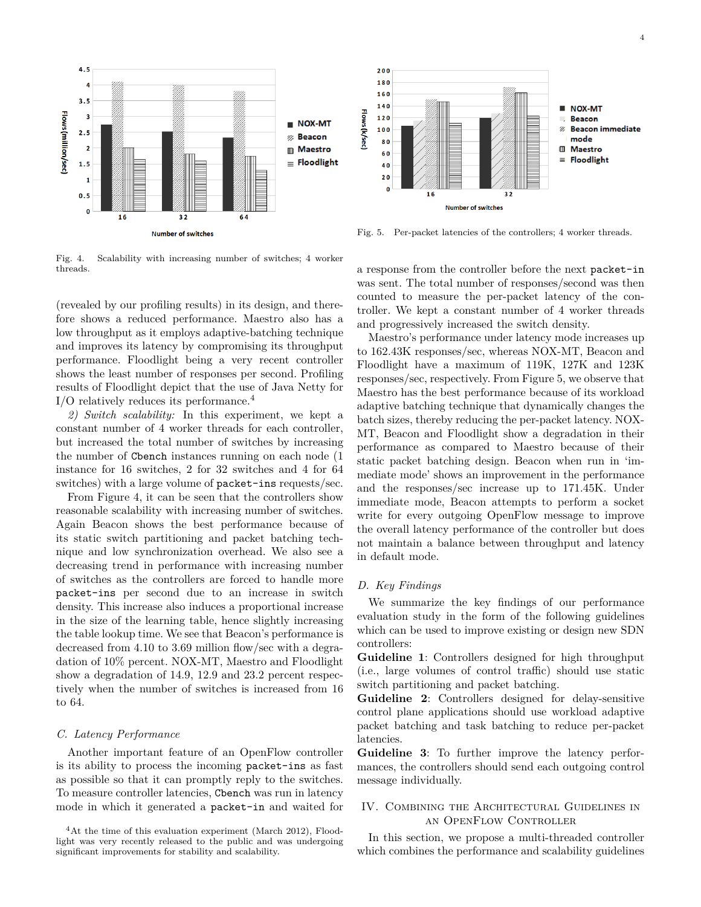

Fig. 4. Scalability with increasing number of switches; 4 worker threads.

(revealed by our profiling results) in its design, and therefore shows a reduced performance. Maestro also has a low throughput as it employs adaptive-batching technique and improves its latency by compromising its throughput performance. Floodlight being a very recent controller shows the least number of responses per second. Profiling results of Floodlight depict that the use of Java Netty for I/O relatively reduces its performance.<sup>4</sup>

*2) Switch scalability:* In this experiment, we kept a constant number of 4 worker threads for each controller, but increased the total number of switches by increasing the number of Cbench instances running on each node (1 instance for 16 switches, 2 for 32 switches and 4 for 64 switches) with a large volume of packet-ins requests/sec.

From Figure 4, it can be seen that the controllers show reasonable scalability with increasing number of switches. Again Beacon shows the best performance because of its static switch partitioning and packet batching technique and low synchronization overhead. We also see a decreasing trend in performance with increasing number of switches as the controllers are forced to handle more packet-ins per second due to an increase in switch density. This increase also induces a proportional increase in the size of the learning table, hence slightly increasing the table lookup time. We see that Beacon's performance is decreased from 4*.*10 to 3*.*69 million flow/sec with a degradation of 10% percent. NOX-MT, Maestro and Floodlight show a degradation of 14*.*9, 12*.*9 and 23*.*2 percent respectively when the number of switches is increased from 16 to 64.

## *C. Latency Performance*

Another important feature of an OpenFlow controller is its ability to process the incoming packet-ins as fast as possible so that it can promptly reply to the switches. To measure controller latencies, Cbench was run in latency mode in which it generated a packet-in and waited for



Fig. 5. Per-packet latencies of the controllers; 4 worker threads.

a response from the controller before the next packet-in was sent. The total number of responses/second was then counted to measure the per-packet latency of the controller. We kept a constant number of 4 worker threads and progressively increased the switch density.

Maestro's performance under latency mode increases up to 162*.*43K responses/sec, whereas NOX-MT, Beacon and Floodlight have a maximum of 119K, 127K and 123K responses/sec, respectively. From Figure 5, we observe that Maestro has the best performance because of its workload adaptive batching technique that dynamically changes the batch sizes, thereby reducing the per-packet latency. NOX-MT, Beacon and Floodlight show a degradation in their performance as compared to Maestro because of their static packet batching design. Beacon when run in 'immediate mode' shows an improvement in the performance and the responses/sec increase up to 171*.*45K. Under immediate mode, Beacon attempts to perform a socket write for every outgoing OpenFlow message to improve the overall latency performance of the controller but does not maintain a balance between throughput and latency in default mode.

#### *D. Key Findings*

We summarize the key findings of our performance evaluation study in the form of the following guidelines which can be used to improve existing or design new SDN controllers:

**Guideline 1**: Controllers designed for high throughput (i.e., large volumes of control traffic) should use static switch partitioning and packet batching.

**Guideline 2**: Controllers designed for delay-sensitive control plane applications should use workload adaptive packet batching and task batching to reduce per-packet latencies.

**Guideline 3**: To further improve the latency performances, the controllers should send each outgoing control message individually.

# IV. Combining the Architectural Guidelines in an OpenFlow Controller

In this section, we propose a multi-threaded controller which combines the performance and scalability guidelines

<sup>&</sup>lt;sup>4</sup>At the time of this evaluation experiment (March 2012), Floodlight was very recently released to the public and was undergoing significant improvements for stability and scalability.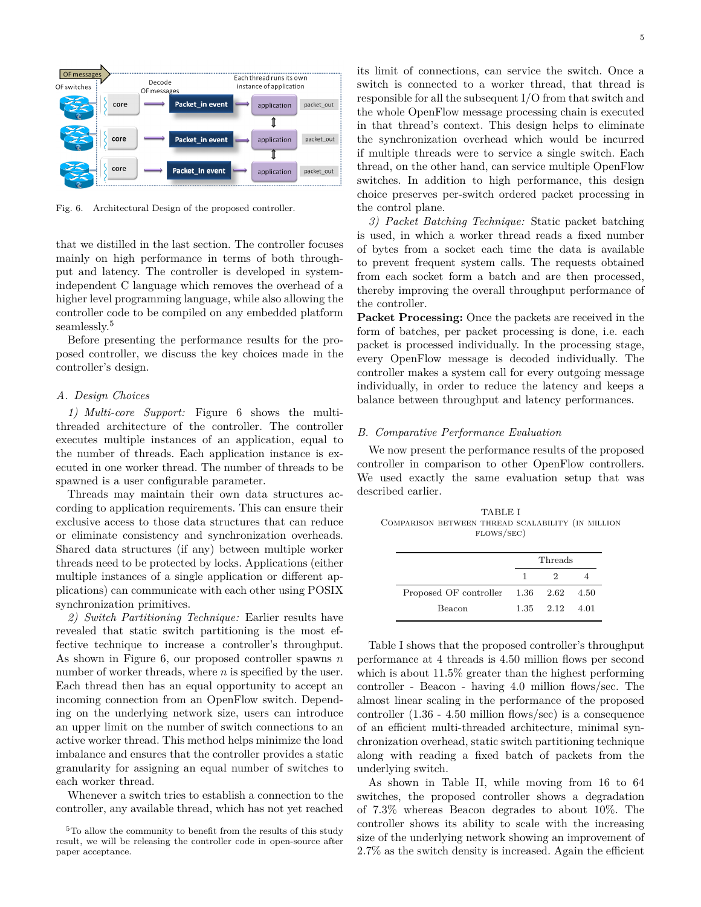

Fig. 6. Architectural Design of the proposed controller.

that we distilled in the last section. The controller focuses mainly on high performance in terms of both throughput and latency. The controller is developed in systemindependent C language which removes the overhead of a higher level programming language, while also allowing the controller code to be compiled on any embedded platform seamlessly.<sup>5</sup>

Before presenting the performance results for the proposed controller, we discuss the key choices made in the controller's design.

## *A. Design Choices*

*1) Multi-core Support:* Figure 6 shows the multithreaded architecture of the controller. The controller executes multiple instances of an application, equal to the number of threads. Each application instance is executed in one worker thread. The number of threads to be spawned is a user configurable parameter.

Threads may maintain their own data structures according to application requirements. This can ensure their exclusive access to those data structures that can reduce or eliminate consistency and synchronization overheads. Shared data structures (if any) between multiple worker threads need to be protected by locks. Applications (either multiple instances of a single application or different applications) can communicate with each other using POSIX synchronization primitives.

*2) Switch Partitioning Technique:* Earlier results have revealed that static switch partitioning is the most effective technique to increase a controller's throughput. As shown in Figure 6, our proposed controller spawns *n* number of worker threads, where *n* is specified by the user. Each thread then has an equal opportunity to accept an incoming connection from an OpenFlow switch. Depending on the underlying network size, users can introduce an upper limit on the number of switch connections to an active worker thread. This method helps minimize the load imbalance and ensures that the controller provides a static granularity for assigning an equal number of switches to each worker thread.

Whenever a switch tries to establish a connection to the controller, any available thread, which has not yet reached its limit of connections, can service the switch. Once a switch is connected to a worker thread, that thread is responsible for all the subsequent I/O from that switch and the whole OpenFlow message processing chain is executed in that thread's context. This design helps to eliminate the synchronization overhead which would be incurred if multiple threads were to service a single switch. Each thread, on the other hand, can service multiple OpenFlow switches. In addition to high performance, this design choice preserves per-switch ordered packet processing in the control plane.

*3) Packet Batching Technique:* Static packet batching is used, in which a worker thread reads a fixed number of bytes from a socket each time the data is available to prevent frequent system calls. The requests obtained from each socket form a batch and are then processed, thereby improving the overall throughput performance of the controller.

**Packet Processing:** Once the packets are received in the form of batches, per packet processing is done, i.e. each packet is processed individually. In the processing stage, every OpenFlow message is decoded individually. The controller makes a system call for every outgoing message individually, in order to reduce the latency and keeps a balance between throughput and latency performances.

## *B. Comparative Performance Evaluation*

We now present the performance results of the proposed controller in comparison to other OpenFlow controllers. We used exactly the same evaluation setup that was described earlier.

TABLE I Comparison between thread scalability (in million flows/sec)

| $\mathbf{1}$ | $2^{\circ}$ |                                                                     |
|--------------|-------------|---------------------------------------------------------------------|
|              |             | 4.50                                                                |
|              |             |                                                                     |
|              |             | Threads<br>Proposed OF controller 1.36 2.62<br>$1.35$ $2.12$ $4.01$ |

Table I shows that the proposed controller's throughput performance at 4 threads is 4*.*50 million flows per second which is about 11*.*5% greater than the highest performing controller - Beacon - having 4*.*0 million flows/sec. The almost linear scaling in the performance of the proposed controller (1*.*36 - 4*.*50 million flows/sec) is a consequence of an efficient multi-threaded architecture, minimal synchronization overhead, static switch partitioning technique along with reading a fixed batch of packets from the underlying switch.

As shown in Table II, while moving from 16 to 64 switches, the proposed controller shows a degradation of 7.3% whereas Beacon degrades to about 10%. The controller shows its ability to scale with the increasing size of the underlying network showing an improvement of 2.7% as the switch density is increased. Again the efficient

<sup>&</sup>lt;sup>5</sup>To allow the community to benefit from the results of this study result, we will be releasing the controller code in open-source after paper acceptance.